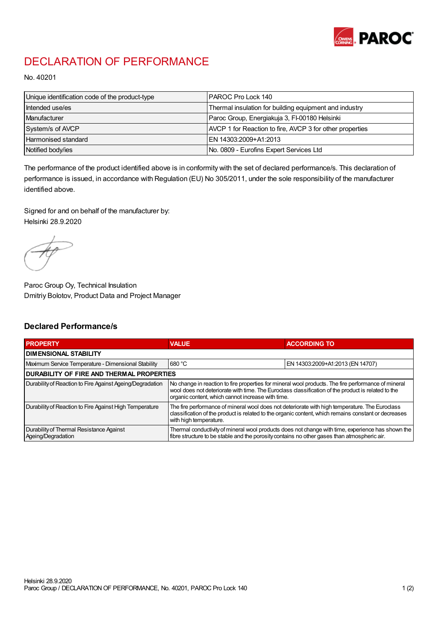

## DECLARATION OF PERFORMANCE

No. 40201

| Unique identification code of the product-type | IPAROC Pro Lock 140                                      |
|------------------------------------------------|----------------------------------------------------------|
| Intended use/es                                | Thermal insulation for building equipment and industry   |
| Manufacturer                                   | Paroc Group, Energiakuja 3, FI-00180 Helsinki            |
| System/s of AVCP                               | AVCP 1 for Reaction to fire, AVCP 3 for other properties |
| Harmonised standard                            | IEN 14303:2009+A1:2013                                   |
| Notified body/ies                              | No. 0809 - Eurofins Expert Services Ltd                  |

The performance of the product identified above is in conformity with the set of declared performance/s. This declaration of performance is issued, in accordance with Regulation (EU) No 305/2011, under the sole responsibility of the manufacturer identified above.

Signed for and on behalf of the manufacturer by: Helsinki 28.9.2020

Paroc Group Oy, Technical Insulation Dmitriy Bolotov, Product Data and Project Manager

## Declared Performance/s

| <b>PROPERTY</b>                                                | <b>VALUE</b>                                                                                                                                                                                                                                                   | <b>ACCORDING TO</b>              |  |
|----------------------------------------------------------------|----------------------------------------------------------------------------------------------------------------------------------------------------------------------------------------------------------------------------------------------------------------|----------------------------------|--|
| <b>DIMENSIONAL STABILITY</b>                                   |                                                                                                                                                                                                                                                                |                                  |  |
| Maximum Service Temperature - Dimensional Stability            | 680 °C                                                                                                                                                                                                                                                         | EN 14303:2009+A1:2013 (EN 14707) |  |
| <b>DURABILITY OF FIRE AND THERMAL PROPERTIES</b>               |                                                                                                                                                                                                                                                                |                                  |  |
| Durability of Reaction to Fire Against Ageing/Degradation      | No change in reaction to fire properties for mineral wool products. The fire performance of mineral<br>wool does not deteriorate with time. The Euroclass classification of the product is related to the<br>organic content, which cannot increase with time. |                                  |  |
| Durability of Reaction to Fire Against High Temperature        | The fire performance of mineral wool does not deteriorate with high temperature. The Euroclass<br>classification of the product is related to the organic content, which remains constant or decreases<br>with high temperature.                               |                                  |  |
| Durability of Thermal Resistance Against<br>Ageing/Degradation | Thermal conductivity of mineral wool products does not change with time, experience has shown the<br>fibre structure to be stable and the porosity contains no other gases than atmospheric air.                                                               |                                  |  |